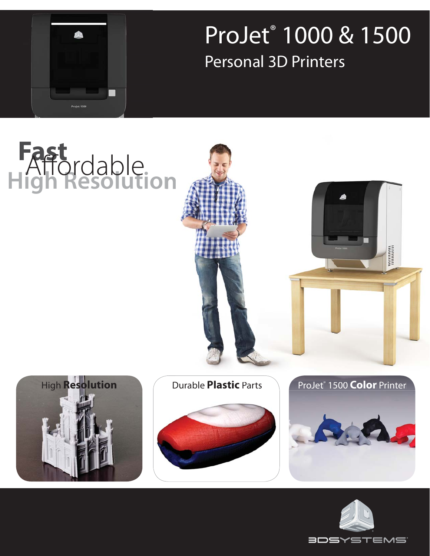ProJet® 1000 & 1500 Personal 3D Printers



**Fast**

## **High Resolution MANAHIRI**